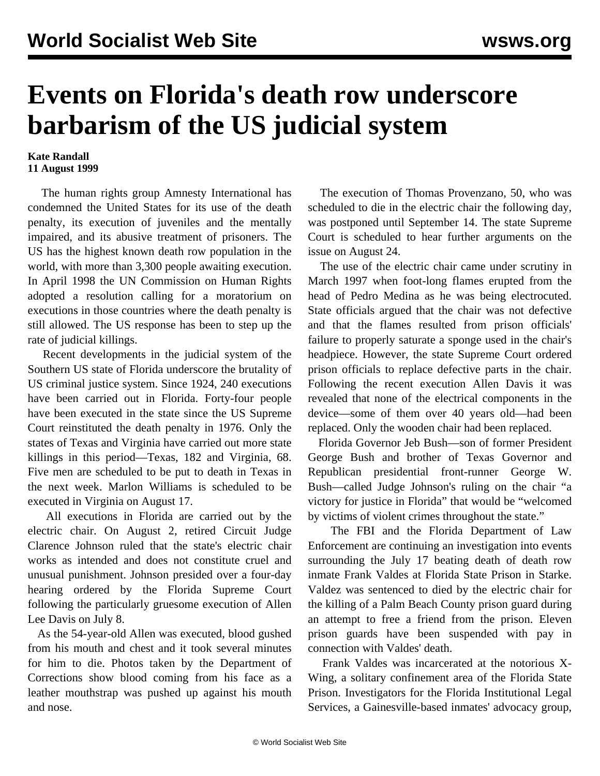## **Events on Florida's death row underscore barbarism of the US judicial system**

## **Kate Randall 11 August 1999**

 The human rights group Amnesty International has condemned the United States for its use of the death penalty, its execution of juveniles and the mentally impaired, and its abusive treatment of prisoners. The US has the highest known death row population in the world, with more than 3,300 people awaiting execution. In April 1998 the UN Commission on Human Rights adopted a resolution calling for a moratorium on executions in those countries where the death penalty is still allowed. The US response has been to step up the rate of judicial killings.

 Recent developments in the judicial system of the Southern US state of Florida underscore the brutality of US criminal justice system. Since 1924, 240 executions have been carried out in Florida. Forty-four people have been executed in the state since the US Supreme Court reinstituted the death penalty in 1976. Only the states of Texas and Virginia have carried out more state killings in this period—Texas, 182 and Virginia, 68. Five men are scheduled to be put to death in Texas in the next week. Marlon Williams is scheduled to be executed in Virginia on August 17.

 All executions in Florida are carried out by the electric chair. On August 2, retired Circuit Judge Clarence Johnson ruled that the state's electric chair works as intended and does not constitute cruel and unusual punishment. Johnson presided over a four-day hearing ordered by the Florida Supreme Court following the particularly gruesome execution of Allen Lee Davis on July 8.

 As the 54-year-old Allen was executed, blood gushed from his mouth and chest and it took several minutes for him to die. Photos taken by the Department of Corrections show blood coming from his face as a leather mouthstrap was pushed up against his mouth and nose.

 The execution of Thomas Provenzano, 50, who was scheduled to die in the electric chair the following day, was postponed until September 14. The state Supreme Court is scheduled to hear further arguments on the issue on August 24.

 The use of the electric chair came under scrutiny in March 1997 when foot-long flames erupted from the head of Pedro Medina as he was being electrocuted. State officials argued that the chair was not defective and that the flames resulted from prison officials' failure to properly saturate a sponge used in the chair's headpiece. However, the state Supreme Court ordered prison officials to replace defective parts in the chair. Following the recent execution Allen Davis it was revealed that none of the electrical components in the device—some of them over 40 years old—had been replaced. Only the wooden chair had been replaced.

 Florida Governor Jeb Bush—son of former President George Bush and brother of Texas Governor and Republican presidential front-runner George W. Bush—called Judge Johnson's ruling on the chair "a victory for justice in Florida" that would be "welcomed by victims of violent crimes throughout the state."

 The FBI and the Florida Department of Law Enforcement are continuing an investigation into events surrounding the July 17 beating death of death row inmate Frank Valdes at Florida State Prison in Starke. Valdez was sentenced to died by the electric chair for the killing of a Palm Beach County prison guard during an attempt to free a friend from the prison. Eleven prison guards have been suspended with pay in connection with Valdes' death.

 Frank Valdes was incarcerated at the notorious X-Wing, a solitary confinement area of the Florida State Prison. Investigators for the Florida Institutional Legal Services, a Gainesville-based inmates' advocacy group,